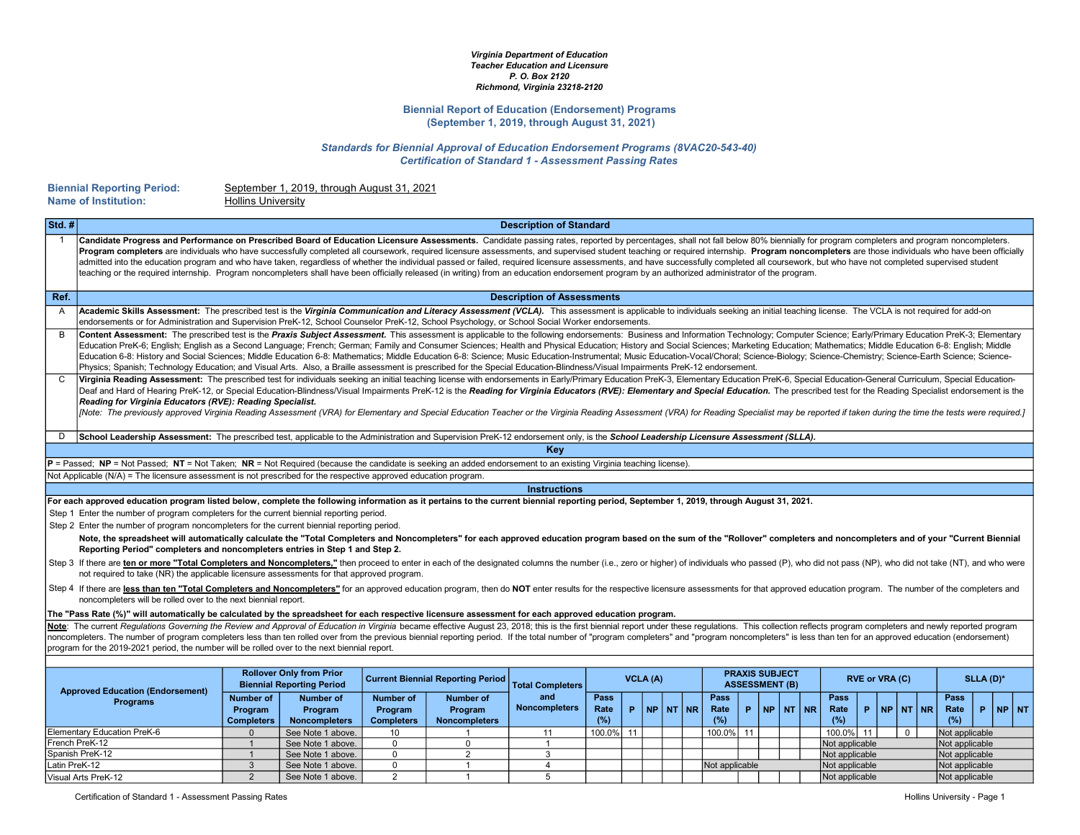#### Virginia Department of Education Teacher Education and Licensure P. O. Box 2120 Richmond, Virginia 23218-2120

#### Biennial Report of Education (Endorsement) Programs (September 1, 2019, through August 31, 2021)

Standards for Biennial Approval of Education Endorsement Programs (8VAC20-543-40) Certification of Standard 1 - Assessment Passing Rates

| <b>Biennial Reporting Period:</b> |  |
|-----------------------------------|--|
| <b>Name of Institution:</b>       |  |

September 1, 2019, through August 31, 2021

|                | <b>Name of Institution:</b>                                                                                                                                                                                                                                                                                                                                                                                                                                                                                                                                                                                                                                                                                                                                                                                                                                                                            | <b>Hollins University</b>                        |                                                     |                                                  |                                                     |                                   |                     |          |  |         |                     |                |                       |  |                                  |                |  |                       |  |                     |           |           |
|----------------|--------------------------------------------------------------------------------------------------------------------------------------------------------------------------------------------------------------------------------------------------------------------------------------------------------------------------------------------------------------------------------------------------------------------------------------------------------------------------------------------------------------------------------------------------------------------------------------------------------------------------------------------------------------------------------------------------------------------------------------------------------------------------------------------------------------------------------------------------------------------------------------------------------|--------------------------------------------------|-----------------------------------------------------|--------------------------------------------------|-----------------------------------------------------|-----------------------------------|---------------------|----------|--|---------|---------------------|----------------|-----------------------|--|----------------------------------|----------------|--|-----------------------|--|---------------------|-----------|-----------|
| Std.#          |                                                                                                                                                                                                                                                                                                                                                                                                                                                                                                                                                                                                                                                                                                                                                                                                                                                                                                        |                                                  |                                                     |                                                  |                                                     | <b>Description of Standard</b>    |                     |          |  |         |                     |                |                       |  |                                  |                |  |                       |  |                     |           |           |
| $\overline{1}$ | Candidate Progress and Performance on Prescribed Board of Education Licensure Assessments. Candidate passing rates, reported by percentages, shall not fall below 80% biennially for program completers and program noncomplet<br>Program completers are individuals who have successfully completed all coursework, required licensure assessments, and supervised student teaching or required internship. Program noncompleters are those individuals who hav<br>admitted into the education program and who have taken, regardless of whether the individual passed or failed, required licensure assessments, and have successfully completed all coursework, but who have not completed supe<br>teaching or the required internship. Program noncompleters shall have been officially released (in writing) from an education endorsement program by an authorized administrator of the program. |                                                  |                                                     |                                                  |                                                     |                                   |                     |          |  |         |                     |                |                       |  |                                  |                |  |                       |  |                     |           |           |
| Ref.           |                                                                                                                                                                                                                                                                                                                                                                                                                                                                                                                                                                                                                                                                                                                                                                                                                                                                                                        |                                                  |                                                     |                                                  |                                                     | <b>Description of Assessments</b> |                     |          |  |         |                     |                |                       |  |                                  |                |  |                       |  |                     |           |           |
| $\overline{A}$ | Academic Skills Assessment: The prescribed test is the Virginia Communication and Literacy Assessment (VCLA). This assessment is applicable to individuals seeking an initial teaching license. The VCLA is not required for a<br>endorsements or for Administration and Supervision PreK-12, School Counselor PreK-12, School Psychology, or School Social Worker endorsements.                                                                                                                                                                                                                                                                                                                                                                                                                                                                                                                       |                                                  |                                                     |                                                  |                                                     |                                   |                     |          |  |         |                     |                |                       |  |                                  |                |  |                       |  |                     |           |           |
| B              | Content Assessment: The prescribed test is the Praxis Subject Assessment. This assessment is applicable to the following endorsements: Business and Information Technology; Computer Science; Early/Primary Education PreK-3;<br>Education PreK-6; English; English as a Second Language; French; German; Family and Consumer Sciences; Health and Physical Education; History and Social Sciences; Marketing Education; Mathematics; Middle Education 6-8: Eng<br>Education 6-8: History and Social Sciences; Middle Education 6-8: Mathematics; Middle Education 6-8: Science; Music Education-Instrumental; Music Education-Vocal/Choral; Science-Biology; Science-Chemistry; Science-Earth Sc<br>Physics; Spanish; Technology Education; and Visual Arts. Also, a Braille assessment is prescribed for the Special Education-Blindness/Visual Impairments PreK-12 endorsement.                     |                                                  |                                                     |                                                  |                                                     |                                   |                     |          |  |         |                     |                |                       |  |                                  |                |  |                       |  |                     |           |           |
| C              | Virginia Reading Assessment: The prescribed test for individuals seeking an initial teaching license with endorsements in Early/Primary Education PreK-3, Elementary Education PreK-6, Special Education-General Curriculum, S<br>Deaf and Hard of Hearing PreK-12, or Special Education-Blindness/Visual Impairments PreK-12 is the Reading for Virginia Educators (RVE): Elementary and Special Education. The prescribed test for the Reading Specialist endo<br>Reading for Virginia Educators (RVE): Reading Specialist.<br>[Note: The previously approved Virginia Reading Assessment (VRA) for Elementary and Special Education Teacher or the Virginia Reading Assessment (VRA) for Reading Specialist may be reported if taken during the time the tes                                                                                                                                        |                                                  |                                                     |                                                  |                                                     |                                   |                     |          |  |         |                     |                |                       |  |                                  |                |  |                       |  |                     |           |           |
| D              | School Leadership Assessment: The prescribed test, applicable to the Administration and Supervision PreK-12 endorsement only, is the School Leadership Licensure Assessment (SLLA).                                                                                                                                                                                                                                                                                                                                                                                                                                                                                                                                                                                                                                                                                                                    |                                                  |                                                     |                                                  |                                                     |                                   |                     |          |  |         |                     |                |                       |  |                                  |                |  |                       |  |                     |           |           |
|                |                                                                                                                                                                                                                                                                                                                                                                                                                                                                                                                                                                                                                                                                                                                                                                                                                                                                                                        |                                                  |                                                     |                                                  |                                                     | Key                               |                     |          |  |         |                     |                |                       |  |                                  |                |  |                       |  |                     |           |           |
|                | $P =$ Passed; NP = Not Passed; NT = Not Taken; NR = Not Required (because the candidate is seeking an added endorsement to an existing Virginia teaching license).                                                                                                                                                                                                                                                                                                                                                                                                                                                                                                                                                                                                                                                                                                                                     |                                                  |                                                     |                                                  |                                                     |                                   |                     |          |  |         |                     |                |                       |  |                                  |                |  |                       |  |                     |           |           |
|                | Not Applicable (N/A) = The licensure assessment is not prescribed for the respective approved education program.                                                                                                                                                                                                                                                                                                                                                                                                                                                                                                                                                                                                                                                                                                                                                                                       |                                                  |                                                     |                                                  |                                                     |                                   |                     |          |  |         |                     |                |                       |  |                                  |                |  |                       |  |                     |           |           |
|                |                                                                                                                                                                                                                                                                                                                                                                                                                                                                                                                                                                                                                                                                                                                                                                                                                                                                                                        |                                                  |                                                     |                                                  |                                                     | <b>Instructions</b>               |                     |          |  |         |                     |                |                       |  |                                  |                |  |                       |  |                     |           |           |
|                | For each approved education program listed below, complete the following information as it pertains to the current biennial reporting period, September 1, 2019, through August 31, 2021.<br>Step 1 Enter the number of program completers for the current biennial reporting period.<br>Step 2 Enter the number of program noncompleters for the current biennial reporting period.<br>Note, the spreadsheet will automatically calculate the "Total Completers and Noncompleters" for each approved education program based on the sum of the "Rollover" completers and noncompleters and of your "Current Biennial                                                                                                                                                                                                                                                                                  |                                                  |                                                     |                                                  |                                                     |                                   |                     |          |  |         |                     |                |                       |  |                                  |                |  |                       |  |                     |           |           |
|                | Reporting Period" completers and noncompleters entries in Step 1 and Step 2.                                                                                                                                                                                                                                                                                                                                                                                                                                                                                                                                                                                                                                                                                                                                                                                                                           |                                                  |                                                     |                                                  |                                                     |                                   |                     |          |  |         |                     |                |                       |  |                                  |                |  |                       |  |                     |           |           |
|                | Step 3 If there are ten or more "Total Completers and Noncompleters," then proceed to enter in each of the designated columns the number (i.e., zero or higher) of individuals who passed (P), who did not pass (NP), who did<br>not required to take (NR) the applicable licensure assessments for that approved program.                                                                                                                                                                                                                                                                                                                                                                                                                                                                                                                                                                             |                                                  |                                                     |                                                  |                                                     |                                   |                     |          |  |         |                     |                |                       |  |                                  |                |  |                       |  |                     |           |           |
|                | Step 4 If there are less than ten "Total Completers and Noncompleters" for an approved education program, then do NOT enter results for the respective licensure assessments for that approved education program. The number o<br>noncompleters will be rolled over to the next biennial report.                                                                                                                                                                                                                                                                                                                                                                                                                                                                                                                                                                                                       |                                                  |                                                     |                                                  |                                                     |                                   |                     |          |  |         |                     |                |                       |  |                                  |                |  |                       |  |                     |           |           |
|                |                                                                                                                                                                                                                                                                                                                                                                                                                                                                                                                                                                                                                                                                                                                                                                                                                                                                                                        |                                                  |                                                     |                                                  |                                                     |                                   |                     |          |  |         |                     |                |                       |  |                                  |                |  |                       |  |                     |           |           |
|                | The "Pass Rate (%)" will automatically be calculated by the spreadsheet for each respective licensure assessment for each approved education program.<br>Note: The current Requlations Governing the Review and Approval of Education in Virginia became effective August 23, 2018; this is the first biennial report under these regulations. This collection reflects program complet<br>noncompleters. The number of program completers less than ten rolled over from the previous biennial reporting period. If the total number of "program completers" and "program noncompleters" is less than ten for an approve<br>program for the 2019-2021 period, the number will be rolled over to the next biennial report.                                                                                                                                                                             |                                                  |                                                     |                                                  |                                                     |                                   |                     |          |  |         |                     |                |                       |  |                                  |                |  |                       |  |                     |           |           |
|                |                                                                                                                                                                                                                                                                                                                                                                                                                                                                                                                                                                                                                                                                                                                                                                                                                                                                                                        |                                                  | <b>Rollover Only from Prior</b>                     |                                                  |                                                     |                                   |                     |          |  |         |                     |                | <b>PRAXIS SUBJECT</b> |  |                                  |                |  |                       |  |                     |           |           |
|                | <b>Approved Education (Endorsement)</b>                                                                                                                                                                                                                                                                                                                                                                                                                                                                                                                                                                                                                                                                                                                                                                                                                                                                |                                                  | <b>Biennial Reporting Period</b>                    |                                                  | <b>Current Biennial Reporting Period</b>            | <b>Total Completers</b>           |                     | VCLA (A) |  |         |                     |                | <b>ASSESSMENT (B)</b> |  |                                  | RVE or VRA (C) |  |                       |  |                     | SLLA (D)* |           |
|                | <b>Programs</b>                                                                                                                                                                                                                                                                                                                                                                                                                                                                                                                                                                                                                                                                                                                                                                                                                                                                                        | <b>Number of</b><br>Program<br><b>Completers</b> | <b>Number of</b><br>Program<br><b>Noncompleters</b> | <b>Number of</b><br>Program<br><b>Completers</b> | <b>Number of</b><br>Program<br><b>Noncompleters</b> | and<br><b>Noncompleters</b>       | Pass<br>Rate<br>(%) | P        |  | NPINTNR | Pass<br>Rate<br>(%) | P.             | NP NT NR              |  | Pass<br>Rate<br>(%)              |                |  | $P$ $NP$ $N$ $T$ $NR$ |  | Pass<br>Rate<br>(%) |           | $P$ NP NT |
|                | Elementary Education PreK-6                                                                                                                                                                                                                                                                                                                                                                                                                                                                                                                                                                                                                                                                                                                                                                                                                                                                            | $\Omega$                                         | See Note 1 above.                                   | 10                                               |                                                     | 11                                | 100.0% 11           |          |  |         | 100.0%              | 11             |                       |  | 100.0% 11                        |                |  | $\mathbf 0$           |  | Not applicable      |           |           |
|                | French PreK-12                                                                                                                                                                                                                                                                                                                                                                                                                                                                                                                                                                                                                                                                                                                                                                                                                                                                                         |                                                  | See Note 1 above.                                   | $\mathbf 0$                                      | $\mathbf 0$                                         |                                   |                     |          |  |         |                     |                |                       |  | Not applicable                   |                |  |                       |  | Not applicable      |           |           |
|                | Spanish PreK-12                                                                                                                                                                                                                                                                                                                                                                                                                                                                                                                                                                                                                                                                                                                                                                                                                                                                                        | $\overline{1}$                                   | See Note 1 above.                                   | $\mathsf 0$                                      | 2                                                   | 3                                 |                     |          |  |         |                     |                |                       |  | Not applicable                   |                |  |                       |  | Not applicable      |           |           |
| Latin PreK-12  |                                                                                                                                                                                                                                                                                                                                                                                                                                                                                                                                                                                                                                                                                                                                                                                                                                                                                                        | $\mathbf{3}$                                     | See Note 1 above.                                   | $\mathsf 0$                                      | $\overline{1}$                                      | $\overline{4}$                    |                     |          |  |         |                     | Not applicable |                       |  | Not applicable                   |                |  |                       |  | Not applicable      |           |           |
|                | Visual Arts PreK-12                                                                                                                                                                                                                                                                                                                                                                                                                                                                                                                                                                                                                                                                                                                                                                                                                                                                                    | $\overline{2}$                                   | See Note 1 above.                                   | 2                                                | $\overline{1}$                                      | $\overline{5}$                    |                     |          |  |         |                     |                |                       |  | Not applicable<br>Not applicable |                |  |                       |  |                     |           |           |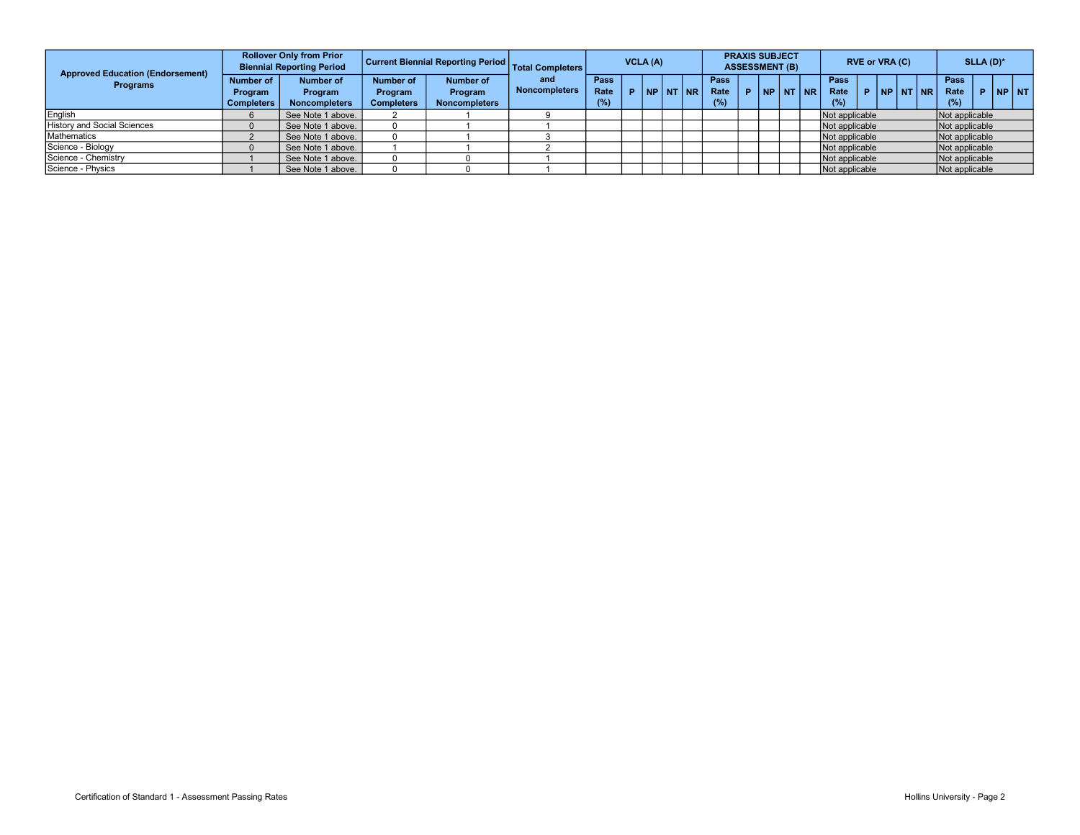| <b>Approved Education (Endorsement)</b><br><b>Programs</b> |                                                  | <b>Rollover Only from Prior</b><br><b>Biennial Reporting Period</b> |                                           | Current Biennial Reporting Period            | <b>Total Completers</b>     | VCLA (A)            |  |  |          | <b>PRAXIS SUBJECT</b><br><b>ASSESSMENT (B)</b> |                     |    |  |          | <b>RVE or VRA (C)</b> |                            |    |  |  | $SLLA$ (D) <sup>*</sup> |                     |   |               |  |
|------------------------------------------------------------|--------------------------------------------------|---------------------------------------------------------------------|-------------------------------------------|----------------------------------------------|-----------------------------|---------------------|--|--|----------|------------------------------------------------|---------------------|----|--|----------|-----------------------|----------------------------|----|--|--|-------------------------|---------------------|---|---------------|--|
|                                                            | Number of<br><b>Program</b><br><b>Completers</b> | Number of<br><b>Program</b><br><b>Noncompleters</b>                 | Number of<br>Program<br><b>Completers</b> | Number of<br>Program<br><b>Noncompleters</b> | and<br><b>Noncompleters</b> | Pass<br>Rate<br>(%) |  |  | NP NT NR |                                                | Pass<br>Rate<br>(%) | D. |  | NP NT NR |                       | <b>Pass</b><br>Rate<br>(%) | D. |  |  | <b>NP NT NR</b>         | Pass<br>Rate<br>(%) | P | <b>INP NT</b> |  |
| English                                                    |                                                  | See Note 1 above.                                                   |                                           |                                              |                             |                     |  |  |          |                                                |                     |    |  |          |                       | Not applicable             |    |  |  |                         | Not applicable      |   |               |  |
| <b>History and Social Sciences</b>                         |                                                  | See Note 1 above.                                                   |                                           |                                              |                             |                     |  |  |          |                                                |                     |    |  |          |                       | Not applicable             |    |  |  |                         | Not applicable      |   |               |  |
| Mathematics                                                |                                                  | See Note 1 above.                                                   |                                           |                                              |                             |                     |  |  |          |                                                |                     |    |  |          |                       | Not applicable             |    |  |  |                         | Not applicable      |   |               |  |
| Science - Biology                                          |                                                  | See Note 1 above.                                                   |                                           |                                              |                             |                     |  |  |          |                                                |                     |    |  |          |                       | Not applicable             |    |  |  |                         | Not applicable      |   |               |  |
| Science - Chemistry                                        |                                                  | See Note 1 above.                                                   |                                           |                                              |                             |                     |  |  |          |                                                |                     |    |  |          |                       | Not applicable             |    |  |  |                         | Not applicable      |   |               |  |
| Science - Physics                                          |                                                  | See Note 1 above.                                                   |                                           |                                              |                             |                     |  |  |          |                                                |                     |    |  |          |                       | Not applicable             |    |  |  |                         | Not applicable      |   |               |  |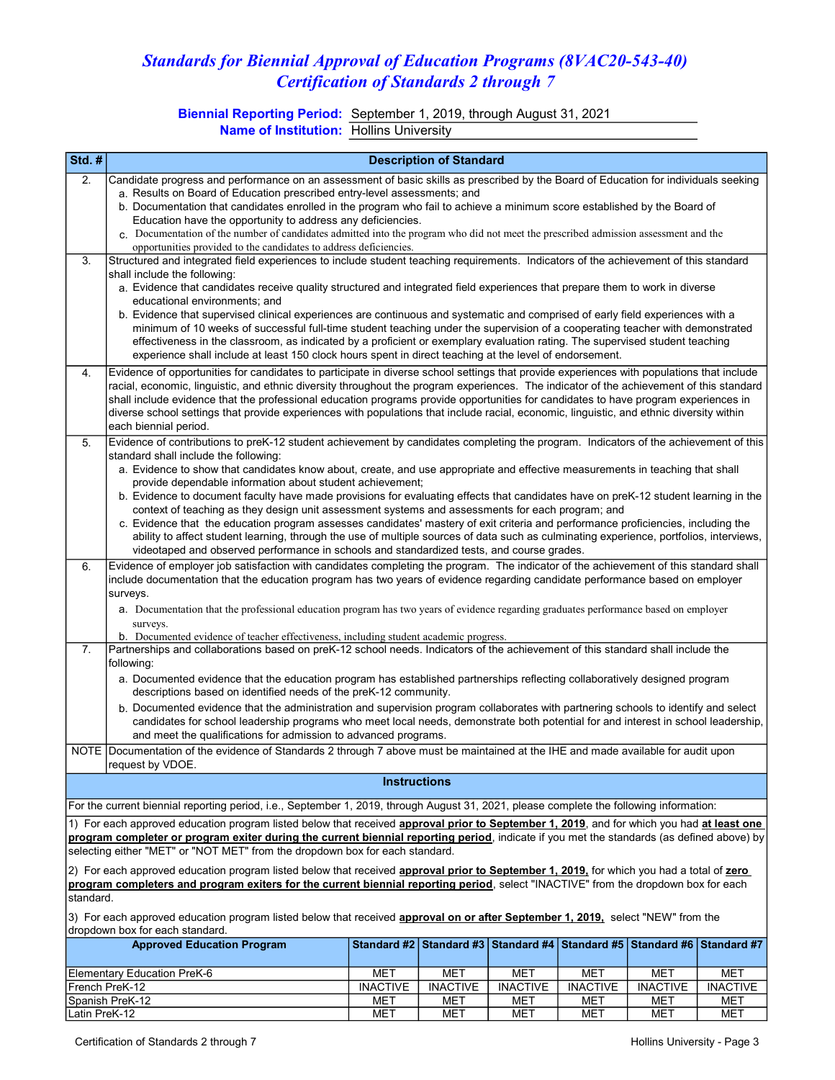## Standards for Biennial Approval of Education Programs (8VAC20-543-40) Certification of Standards 2 through 7

Biennial Reporting Period: September 1, 2019, through August 31, 2021 Name of Institution: Hollins University

| Std. $#$                                                                                                                                        |                                                                                                                                                                                                                                                                             |                     | <b>Description of Standard</b> |                 |                 |                                                                                   |                 |  |  |  |  |  |
|-------------------------------------------------------------------------------------------------------------------------------------------------|-----------------------------------------------------------------------------------------------------------------------------------------------------------------------------------------------------------------------------------------------------------------------------|---------------------|--------------------------------|-----------------|-----------------|-----------------------------------------------------------------------------------|-----------------|--|--|--|--|--|
| 2.                                                                                                                                              | Candidate progress and performance on an assessment of basic skills as prescribed by the Board of Education for individuals seeking                                                                                                                                         |                     |                                |                 |                 |                                                                                   |                 |  |  |  |  |  |
|                                                                                                                                                 | a. Results on Board of Education prescribed entry-level assessments; and                                                                                                                                                                                                    |                     |                                |                 |                 |                                                                                   |                 |  |  |  |  |  |
|                                                                                                                                                 | b. Documentation that candidates enrolled in the program who fail to achieve a minimum score established by the Board of                                                                                                                                                    |                     |                                |                 |                 |                                                                                   |                 |  |  |  |  |  |
|                                                                                                                                                 | Education have the opportunity to address any deficiencies.<br>c. Documentation of the number of candidates admitted into the program who did not meet the prescribed admission assessment and the                                                                          |                     |                                |                 |                 |                                                                                   |                 |  |  |  |  |  |
|                                                                                                                                                 | opportunities provided to the candidates to address deficiencies.                                                                                                                                                                                                           |                     |                                |                 |                 |                                                                                   |                 |  |  |  |  |  |
| 3.                                                                                                                                              | Structured and integrated field experiences to include student teaching requirements. Indicators of the achievement of this standard                                                                                                                                        |                     |                                |                 |                 |                                                                                   |                 |  |  |  |  |  |
|                                                                                                                                                 | shall include the following:                                                                                                                                                                                                                                                |                     |                                |                 |                 |                                                                                   |                 |  |  |  |  |  |
|                                                                                                                                                 | a. Evidence that candidates receive quality structured and integrated field experiences that prepare them to work in diverse                                                                                                                                                |                     |                                |                 |                 |                                                                                   |                 |  |  |  |  |  |
|                                                                                                                                                 | educational environments; and                                                                                                                                                                                                                                               |                     |                                |                 |                 |                                                                                   |                 |  |  |  |  |  |
|                                                                                                                                                 | b. Evidence that supervised clinical experiences are continuous and systematic and comprised of early field experiences with a<br>minimum of 10 weeks of successful full-time student teaching under the supervision of a cooperating teacher with demonstrated             |                     |                                |                 |                 |                                                                                   |                 |  |  |  |  |  |
|                                                                                                                                                 | effectiveness in the classroom, as indicated by a proficient or exemplary evaluation rating. The supervised student teaching                                                                                                                                                |                     |                                |                 |                 |                                                                                   |                 |  |  |  |  |  |
| experience shall include at least 150 clock hours spent in direct teaching at the level of endorsement.                                         |                                                                                                                                                                                                                                                                             |                     |                                |                 |                 |                                                                                   |                 |  |  |  |  |  |
| Evidence of opportunities for candidates to participate in diverse school settings that provide experiences with populations that include<br>4. |                                                                                                                                                                                                                                                                             |                     |                                |                 |                 |                                                                                   |                 |  |  |  |  |  |
|                                                                                                                                                 | racial, economic, linguistic, and ethnic diversity throughout the program experiences. The indicator of the achievement of this standard                                                                                                                                    |                     |                                |                 |                 |                                                                                   |                 |  |  |  |  |  |
|                                                                                                                                                 | shall include evidence that the professional education programs provide opportunities for candidates to have program experiences in                                                                                                                                         |                     |                                |                 |                 |                                                                                   |                 |  |  |  |  |  |
|                                                                                                                                                 | diverse school settings that provide experiences with populations that include racial, economic, linguistic, and ethnic diversity within                                                                                                                                    |                     |                                |                 |                 |                                                                                   |                 |  |  |  |  |  |
|                                                                                                                                                 | each biennial period.                                                                                                                                                                                                                                                       |                     |                                |                 |                 |                                                                                   |                 |  |  |  |  |  |
| 5.                                                                                                                                              | Evidence of contributions to preK-12 student achievement by candidates completing the program. Indicators of the achievement of this                                                                                                                                        |                     |                                |                 |                 |                                                                                   |                 |  |  |  |  |  |
|                                                                                                                                                 | standard shall include the following:<br>a. Evidence to show that candidates know about, create, and use appropriate and effective measurements in teaching that shall                                                                                                      |                     |                                |                 |                 |                                                                                   |                 |  |  |  |  |  |
|                                                                                                                                                 | provide dependable information about student achievement;                                                                                                                                                                                                                   |                     |                                |                 |                 |                                                                                   |                 |  |  |  |  |  |
|                                                                                                                                                 |                                                                                                                                                                                                                                                                             |                     |                                |                 |                 |                                                                                   |                 |  |  |  |  |  |
|                                                                                                                                                 | b. Evidence to document faculty have made provisions for evaluating effects that candidates have on preK-12 student learning in the<br>context of teaching as they design unit assessment systems and assessments for each program; and                                     |                     |                                |                 |                 |                                                                                   |                 |  |  |  |  |  |
|                                                                                                                                                 | c. Evidence that the education program assesses candidates' mastery of exit criteria and performance proficiencies, including the                                                                                                                                           |                     |                                |                 |                 |                                                                                   |                 |  |  |  |  |  |
|                                                                                                                                                 | ability to affect student learning, through the use of multiple sources of data such as culminating experience, portfolios, interviews,                                                                                                                                     |                     |                                |                 |                 |                                                                                   |                 |  |  |  |  |  |
|                                                                                                                                                 | videotaped and observed performance in schools and standardized tests, and course grades.                                                                                                                                                                                   |                     |                                |                 |                 |                                                                                   |                 |  |  |  |  |  |
|                                                                                                                                                 | Evidence of employer job satisfaction with candidates completing the program. The indicator of the achievement of this standard shall<br>6.<br>include documentation that the education program has two years of evidence regarding candidate performance based on employer |                     |                                |                 |                 |                                                                                   |                 |  |  |  |  |  |
|                                                                                                                                                 | surveys.                                                                                                                                                                                                                                                                    |                     |                                |                 |                 |                                                                                   |                 |  |  |  |  |  |
|                                                                                                                                                 | a. Documentation that the professional education program has two years of evidence regarding graduates performance based on employer                                                                                                                                        |                     |                                |                 |                 |                                                                                   |                 |  |  |  |  |  |
|                                                                                                                                                 | surveys.                                                                                                                                                                                                                                                                    |                     |                                |                 |                 |                                                                                   |                 |  |  |  |  |  |
|                                                                                                                                                 | b. Documented evidence of teacher effectiveness, including student academic progress.                                                                                                                                                                                       |                     |                                |                 |                 |                                                                                   |                 |  |  |  |  |  |
| 7.                                                                                                                                              | Partnerships and collaborations based on preK-12 school needs. Indicators of the achievement of this standard shall include the                                                                                                                                             |                     |                                |                 |                 |                                                                                   |                 |  |  |  |  |  |
|                                                                                                                                                 | following:                                                                                                                                                                                                                                                                  |                     |                                |                 |                 |                                                                                   |                 |  |  |  |  |  |
|                                                                                                                                                 | a. Documented evidence that the education program has established partnerships reflecting collaboratively designed program<br>descriptions based on identified needs of the preK-12 community.                                                                              |                     |                                |                 |                 |                                                                                   |                 |  |  |  |  |  |
|                                                                                                                                                 | b. Documented evidence that the administration and supervision program collaborates with partnering schools to identify and select                                                                                                                                          |                     |                                |                 |                 |                                                                                   |                 |  |  |  |  |  |
|                                                                                                                                                 | candidates for school leadership programs who meet local needs, demonstrate both potential for and interest in school leadership,                                                                                                                                           |                     |                                |                 |                 |                                                                                   |                 |  |  |  |  |  |
|                                                                                                                                                 | and meet the qualifications for admission to advanced programs.                                                                                                                                                                                                             |                     |                                |                 |                 |                                                                                   |                 |  |  |  |  |  |
|                                                                                                                                                 | NOTE Documentation of the evidence of Standards 2 through 7 above must be maintained at the IHE and made available for audit upon<br>request by VDOE.                                                                                                                       |                     |                                |                 |                 |                                                                                   |                 |  |  |  |  |  |
|                                                                                                                                                 |                                                                                                                                                                                                                                                                             | <b>Instructions</b> |                                |                 |                 |                                                                                   |                 |  |  |  |  |  |
|                                                                                                                                                 |                                                                                                                                                                                                                                                                             |                     |                                |                 |                 |                                                                                   |                 |  |  |  |  |  |
|                                                                                                                                                 | For the current biennial reporting period, i.e., September 1, 2019, through August 31, 2021, please complete the following information:                                                                                                                                     |                     |                                |                 |                 |                                                                                   |                 |  |  |  |  |  |
|                                                                                                                                                 | 1) For each approved education program listed below that received <b>approval prior to September 1, 2019</b> , and for which you had at least one                                                                                                                           |                     |                                |                 |                 |                                                                                   |                 |  |  |  |  |  |
|                                                                                                                                                 | program completer or program exiter during the current biennial reporting period, indicate if you met the standards (as defined above) by                                                                                                                                   |                     |                                |                 |                 |                                                                                   |                 |  |  |  |  |  |
|                                                                                                                                                 | selecting either "MET" or "NOT MET" from the dropdown box for each standard.                                                                                                                                                                                                |                     |                                |                 |                 |                                                                                   |                 |  |  |  |  |  |
|                                                                                                                                                 | 2) For each approved education program listed below that received approval prior to September 1, 2019, for which you had a total of zero                                                                                                                                    |                     |                                |                 |                 |                                                                                   |                 |  |  |  |  |  |
|                                                                                                                                                 | program completers and program exiters for the current biennial reporting period, select "INACTIVE" from the dropdown box for each                                                                                                                                          |                     |                                |                 |                 |                                                                                   |                 |  |  |  |  |  |
| standard.                                                                                                                                       |                                                                                                                                                                                                                                                                             |                     |                                |                 |                 |                                                                                   |                 |  |  |  |  |  |
|                                                                                                                                                 | 3) For each approved education program listed below that received <b>approval on or after September 1, 2019,</b> select "NEW" from the                                                                                                                                      |                     |                                |                 |                 |                                                                                   |                 |  |  |  |  |  |
|                                                                                                                                                 | dropdown box for each standard.                                                                                                                                                                                                                                             |                     |                                |                 |                 |                                                                                   |                 |  |  |  |  |  |
|                                                                                                                                                 | <b>Approved Education Program</b>                                                                                                                                                                                                                                           |                     |                                |                 |                 | Standard #2   Standard #3   Standard #4   Standard #5   Standard #6   Standard #7 |                 |  |  |  |  |  |
|                                                                                                                                                 | Elementary Education PreK-6                                                                                                                                                                                                                                                 | <b>MET</b>          | <b>MET</b>                     | <b>MET</b>      | <b>MET</b>      | <b>MET</b>                                                                        | <b>MET</b>      |  |  |  |  |  |
|                                                                                                                                                 | French PreK-12                                                                                                                                                                                                                                                              | <b>INACTIVE</b>     | <b>INACTIVE</b>                | <b>INACTIVE</b> | <b>INACTIVE</b> | <b>INACTIVE</b>                                                                   | <b>INACTIVE</b> |  |  |  |  |  |
|                                                                                                                                                 | Spanish PreK-12                                                                                                                                                                                                                                                             | <b>MET</b>          | <b>MET</b>                     | MET             | MET             | <b>MET</b>                                                                        | MET             |  |  |  |  |  |
| Latin PreK-12                                                                                                                                   |                                                                                                                                                                                                                                                                             | <b>MET</b>          | <b>MET</b>                     | MET             | <b>MET</b>      | <b>MET</b>                                                                        | MET             |  |  |  |  |  |

Latin PreK-12 **MET MET MET MET MET MET MET MET MET MET**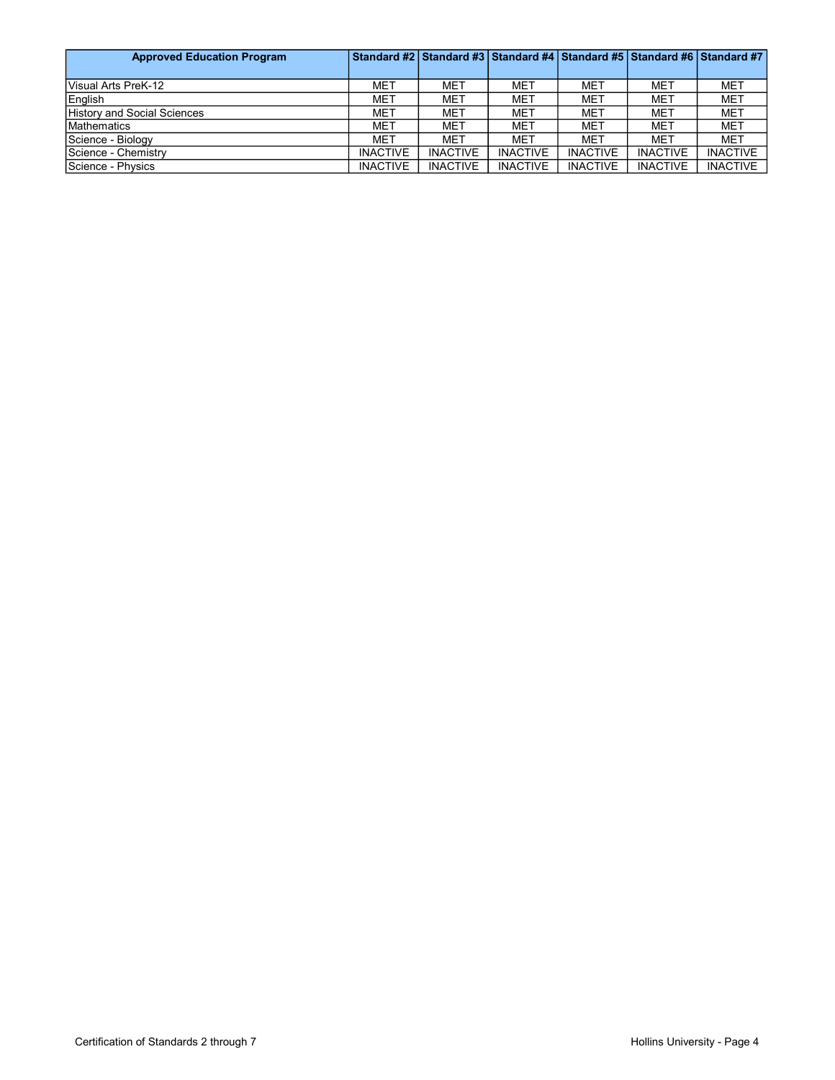| <b>Approved Education Program</b>  |                 |                 | Standard #2   Standard #3   Standard #4   Standard #5   Standard #6   Standard #7 |                 |                 |                 |
|------------------------------------|-----------------|-----------------|-----------------------------------------------------------------------------------|-----------------|-----------------|-----------------|
|                                    |                 |                 |                                                                                   |                 |                 |                 |
| Visual Arts PreK-12                | MET             | <b>MET</b>      | <b>MET</b>                                                                        | <b>MET</b>      | <b>MET</b>      | MET             |
| English                            | MET             | MET             | <b>MET</b>                                                                        | <b>MET</b>      | <b>MET</b>      | MET             |
| <b>History and Social Sciences</b> | MET             | MET             | <b>MET</b>                                                                        | <b>MET</b>      | <b>MET</b>      | <b>MET</b>      |
| <b>Mathematics</b>                 | MET             | MET             | <b>MET</b>                                                                        | <b>MET</b>      | <b>MET</b>      | <b>MET</b>      |
| Science - Biology                  | MET             | MET             | <b>MET</b>                                                                        | <b>MET</b>      | <b>MET</b>      | <b>MET</b>      |
| Science - Chemistry                | <b>INACTIVE</b> | <b>INACTIVE</b> | <b>INACTIVE</b>                                                                   | <b>INACTIVE</b> | <b>INACTIVE</b> | <b>INACTIVE</b> |
| Science - Physics                  | <b>INACTIVE</b> | <b>INACTIVE</b> | <b>INACTIVE</b>                                                                   | <b>INACTIVE</b> | <b>INACTIVE</b> | <b>INACTIVE</b> |